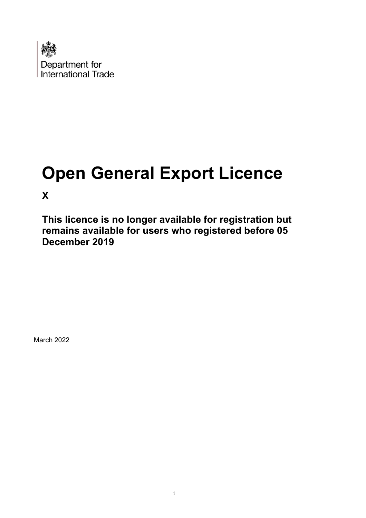

# **Open General Export Licence**

**X** 

**This licence is no longer available for registration but remains available for users who registered before 05 December 2019** 

March 2022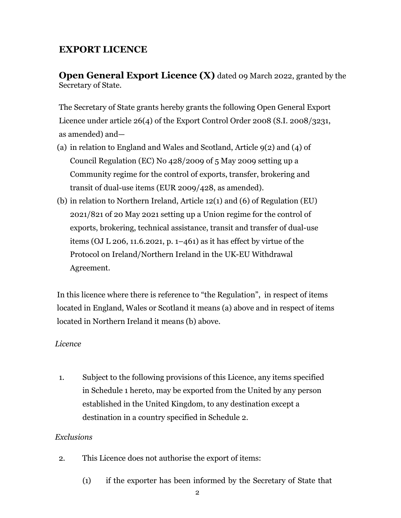# **EXPORT LICENCE**

**Open General Export Licence (X)** dated 09 March 2022, granted by the Secretary of State.

The Secretary of State grants hereby grants the following Open General Export Licence under article 26(4) of the Export Control Order 2008 (S.I. 2008/3231, as amended) and—

- (a) in relation to England and Wales and Scotland, Article 9(2) and (4) of Council Regulation (EC) No 428/2009 of 5 May 2009 setting up a Community regime for the control of exports, transfer, brokering and transit of dual-use items (EUR 2009/428, as amended).
- (b) in relation to Northern Ireland, Article 12(1) and (6) of Regulation (EU) 2021/821 of 20 May 2021 setting up a Union regime for the control of exports, brokering, technical assistance, transit and transfer of dual-use items (OJ L 206, 11.6.2021, p. 1–461) as it has effect by virtue of the Protocol on Ireland/Northern Ireland in the UK-EU Withdrawal Agreement.

In this licence where there is reference to "the Regulation", in respect of items located in England, Wales or Scotland it means (a) above and in respect of items located in Northern Ireland it means (b) above.

## *Licence*

1. Subject to the following provisions of this Licence, any items specified in Schedule 1 hereto, may be exported from the United by any person established in the United Kingdom, to any destination except a destination in a country specified in Schedule 2.

## *Exclusions*

- 2. This Licence does not authorise the export of items:
	- (1) if the exporter has been informed by the Secretary of State that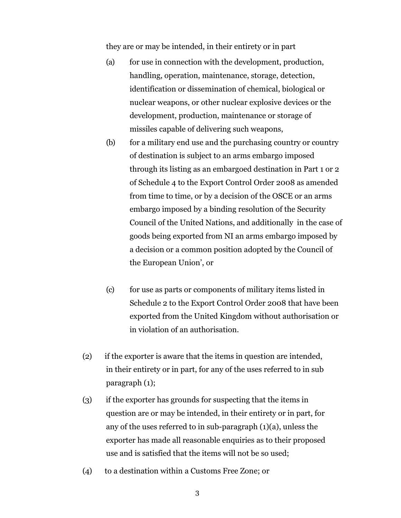they are or may be intended, in their entirety or in part

- (a) for use in connection with the development, production, handling, operation, maintenance, storage, detection, identification or dissemination of chemical, biological or nuclear weapons, or other nuclear explosive devices or the development, production, maintenance or storage of missiles capable of delivering such weapons,
- (b) for a military end use and the purchasing country or country of destination is subject to an arms embargo imposed through its listing as an embargoed destination in Part 1 or 2 of Schedule 4 to the Export Control Order 2008 as amended from time to time, or by a decision of the OSCE or an arms embargo imposed by a binding resolution of the Security Council of the United Nations, and additionally in the case of goods being exported from NI an arms embargo imposed by a decision or a common position adopted by the Council of the European Union', or
- (c) for use as parts or components of military items listed in Schedule 2 to the Export Control Order 2008 that have been exported from the United Kingdom without authorisation or in violation of an authorisation.
- (2) if the exporter is aware that the items in question are intended, in their entirety or in part, for any of the uses referred to in sub paragraph (1);
- (3) if the exporter has grounds for suspecting that the items in question are or may be intended, in their entirety or in part, for any of the uses referred to in sub-paragraph (1)(a), unless the exporter has made all reasonable enquiries as to their proposed use and is satisfied that the items will not be so used;
- (4) to a destination within a Customs Free Zone; or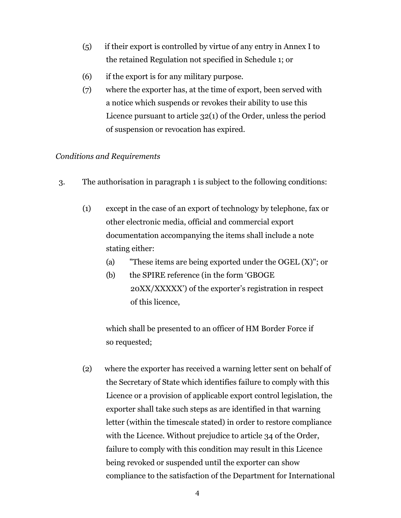- (5) if their export is controlled by virtue of any entry in Annex I to the retained Regulation not specified in Schedule 1; or
- (6) if the export is for any military purpose.
- (7) where the exporter has, at the time of export, been served with a notice which suspends or revokes their ability to use this Licence pursuant to article 32(1) of the Order, unless the period of suspension or revocation has expired.

## *Conditions and Requirements*

- 3. The authorisation in paragraph 1 is subject to the following conditions:
	- (1) except in the case of an export of technology by telephone, fax or other electronic media, official and commercial export documentation accompanying the items shall include a note stating either:
		- (a) "These items are being exported under the OGEL (X)"; or
		- (b) the SPIRE reference (in the form 'GBOGE 20XX/XXXXX') of the exporter's registration in respect of this licence,

which shall be presented to an officer of HM Border Force if so requested;

(2) where the exporter has received a warning letter sent on behalf of the Secretary of State which identifies failure to comply with this Licence or a provision of applicable export control legislation, the exporter shall take such steps as are identified in that warning letter (within the timescale stated) in order to restore compliance with the Licence. Without prejudice to article 34 of the Order, failure to comply with this condition may result in this Licence being revoked or suspended until the exporter can show compliance to the satisfaction of the Department for International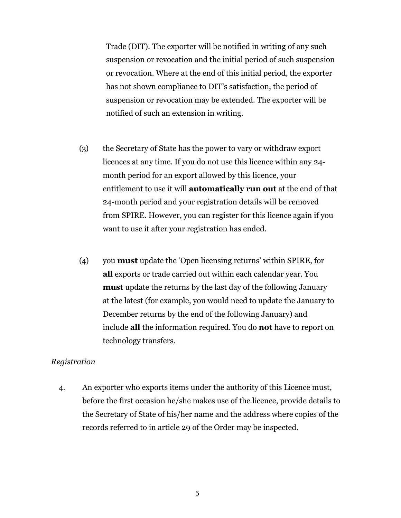Trade (DIT). The exporter will be notified in writing of any such suspension or revocation and the initial period of such suspension or revocation. Where at the end of this initial period, the exporter has not shown compliance to DIT's satisfaction, the period of suspension or revocation may be extended. The exporter will be notified of such an extension in writing.

- (3) the Secretary of State has the power to vary or withdraw export licences at any time. If you do not use this licence within any 24 month period for an export allowed by this licence, your entitlement to use it will **automatically run out** at the end of that 24-month period and your registration details will be removed from SPIRE. However, you can register for this licence again if you want to use it after your registration has ended.
- (4) you **must** update the 'Open licensing returns' within SPIRE, for **all** exports or trade carried out within each calendar year. You **must** update the returns by the last day of the following January at the latest (for example, you would need to update the January to December returns by the end of the following January) and include **all** the information required. You do **not** have to report on technology transfers.

### *Registration*

4. An exporter who exports items under the authority of this Licence must, before the first occasion he/she makes use of the licence, provide details to the Secretary of State of his/her name and the address where copies of the records referred to in article 29 of the Order may be inspected.

5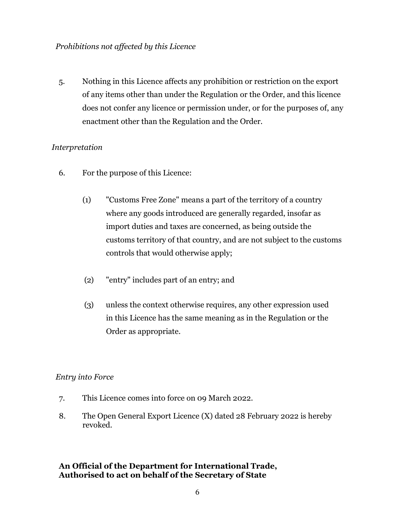5. Nothing in this Licence affects any prohibition or restriction on the export of any items other than under the Regulation or the Order, and this licence does not confer any licence or permission under, or for the purposes of, any enactment other than the Regulation and the Order.

## *Interpretation*

- 6. For the purpose of this Licence:
	- (1) "Customs Free Zone" means a part of the territory of a country where any goods introduced are generally regarded, insofar as import duties and taxes are concerned, as being outside the customs territory of that country, and are not subject to the customs controls that would otherwise apply;
	- (2) "entry" includes part of an entry; and
	- (3) unless the context otherwise requires, any other expression used in this Licence has the same meaning as in the Regulation or the Order as appropriate.

#### *Entry into Force*

- 7. This Licence comes into force on 09 March 2022.
- 8. The Open General Export Licence (X) dated 28 February 2022 is hereby revoked.

## **An Official of the Department for International Trade, Authorised to act on behalf of the Secretary of State**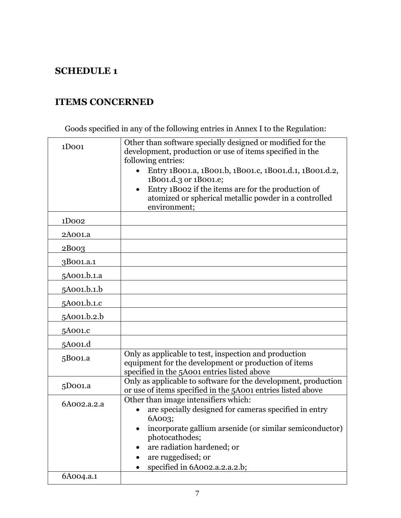# **SCHEDULE 1**

# **ITEMS CONCERNED**

Goods specified in any of the following entries in Annex I to the Regulation:

| 1D <sub>001</sub> | Other than software specially designed or modified for the<br>development, production or use of items specified in the<br>following entries:<br>Entry 1B001.a, 1B001.b, 1B001.c, 1B001.d.1, 1B001.d.2,<br>1B001.d.3 or 1B001.e;<br>Entry 1B002 if the items are for the production of<br>$\bullet$<br>atomized or spherical metallic powder in a controlled<br>environment; |
|-------------------|-----------------------------------------------------------------------------------------------------------------------------------------------------------------------------------------------------------------------------------------------------------------------------------------------------------------------------------------------------------------------------|
| 1D <sub>002</sub> |                                                                                                                                                                                                                                                                                                                                                                             |
| 2A001.a           |                                                                                                                                                                                                                                                                                                                                                                             |
| 2B003             |                                                                                                                                                                                                                                                                                                                                                                             |
| 3B001.a.1         |                                                                                                                                                                                                                                                                                                                                                                             |
| 5A001.b.1.a       |                                                                                                                                                                                                                                                                                                                                                                             |
| 5A001.b.1.b       |                                                                                                                                                                                                                                                                                                                                                                             |
| 5A001.b.1.c       |                                                                                                                                                                                                                                                                                                                                                                             |
| 5A001.b.2.b       |                                                                                                                                                                                                                                                                                                                                                                             |
| 5A001.c           |                                                                                                                                                                                                                                                                                                                                                                             |
| 5A001.d           |                                                                                                                                                                                                                                                                                                                                                                             |
| 5B001.a           | Only as applicable to test, inspection and production<br>equipment for the development or production of items<br>specified in the 5A001 entries listed above                                                                                                                                                                                                                |
| 5D001.a           | Only as applicable to software for the development, production<br>or use of items specified in the 5A001 entries listed above                                                                                                                                                                                                                                               |
| 6A002.a.2.a       | Other than image intensifiers which:<br>are specially designed for cameras specified in entry<br>6A003;<br>• incorporate gallium arsenide (or similar semiconductor)<br>photocathodes;<br>are radiation hardened; or<br>are ruggedised; or                                                                                                                                  |
| 6A004.a.1         | specified in 6A002.a.2.a.2.b;                                                                                                                                                                                                                                                                                                                                               |
|                   |                                                                                                                                                                                                                                                                                                                                                                             |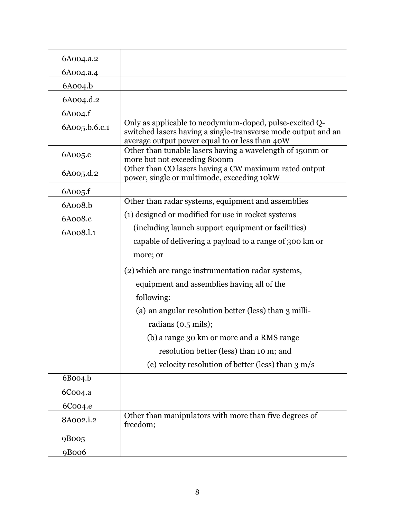| 6A004.a.2            |                                                                                                                                                                            |
|----------------------|----------------------------------------------------------------------------------------------------------------------------------------------------------------------------|
| 6A004.a.4            |                                                                                                                                                                            |
| $6A$ 004.b           |                                                                                                                                                                            |
| 6A004.d.2            |                                                                                                                                                                            |
| 6A004.f              |                                                                                                                                                                            |
| 6A005.b.6.c.1        | Only as applicable to neodymium-doped, pulse-excited Q-<br>switched lasers having a single-transverse mode output and an<br>average output power equal to or less than 40W |
| 6A005.c              | Other than tunable lasers having a wavelength of 150nm or<br>more but not exceeding 800nm                                                                                  |
| 6A005.d.2            | Other than CO lasers having a CW maximum rated output<br>power, single or multimode, exceeding 10kW                                                                        |
| 6A005.f              |                                                                                                                                                                            |
| 6A008.b              | Other than radar systems, equipment and assemblies                                                                                                                         |
| 6A008.c              | (1) designed or modified for use in rocket systems                                                                                                                         |
| 6A008.l.1            | (including launch support equipment or facilities)                                                                                                                         |
|                      | capable of delivering a payload to a range of 300 km or                                                                                                                    |
|                      | more; or                                                                                                                                                                   |
|                      | (2) which are range instrumentation radar systems,                                                                                                                         |
|                      | equipment and assemblies having all of the                                                                                                                                 |
|                      | following:                                                                                                                                                                 |
|                      | (a) an angular resolution better (less) than 3 milli-                                                                                                                      |
|                      | radians $(0.5 \text{ miles})$ ;                                                                                                                                            |
|                      | (b) a range 30 km or more and a RMS range                                                                                                                                  |
|                      | resolution better (less) than 10 m; and                                                                                                                                    |
|                      | (c) velocity resolution of better (less) than $3 \text{ m/s}$                                                                                                              |
| 6B004.b              |                                                                                                                                                                            |
| 6C004.a              |                                                                                                                                                                            |
| 6Coo <sub>4</sub> .e |                                                                                                                                                                            |
| 8A002.i.2            | Other than manipulators with more than five degrees of<br>freedom;                                                                                                         |
| 9B005                |                                                                                                                                                                            |
| 9B006                |                                                                                                                                                                            |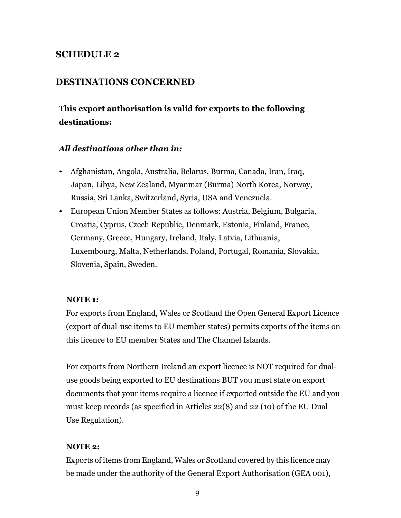## **SCHEDULE 2**

## **DESTINATIONS CONCERNED**

# **This export authorisation is valid for exports to the following destinations:**

#### *All destinations other than in:*

- Afghanistan, Angola, Australia, Belarus, Burma, Canada, Iran, Iraq, Japan, Libya, New Zealand, Myanmar (Burma) North Korea, Norway, Russia, Sri Lanka, Switzerland, Syria, USA and Venezuela.
- European Union Member States as follows: Austria, Belgium, Bulgaria, Croatia, Cyprus, Czech Republic, Denmark, Estonia, Finland, France, Germany, Greece, Hungary, Ireland, Italy, Latvia, Lithuania, Luxembourg, Malta, Netherlands, Poland, Portugal, Romania, Slovakia, Slovenia, Spain, Sweden.

#### **NOTE 1:**

For exports from England, Wales or Scotland the Open General Export Licence (export of dual-use items to EU member states) permits exports of the items on this licence to EU member States and The Channel Islands.

For exports from Northern Ireland an export licence is NOT required for dualuse goods being exported to EU destinations BUT you must state on export documents that your items require a licence if exported outside the EU and you must keep records (as specified in Articles 22(8) and 22 (10) of the EU Dual Use Regulation).

#### **NOTE 2:**

Exports of items from England, Wales or Scotland covered by this licence may be made under the authority of the General Export Authorisation (GEA 001),

9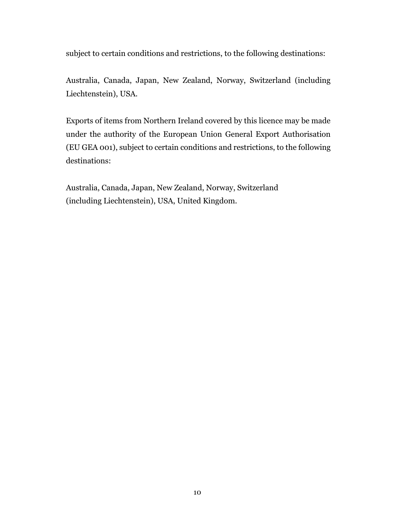subject to certain conditions and restrictions, to the following destinations:

Australia, Canada, Japan, New Zealand, Norway, Switzerland (including Liechtenstein), USA.

Exports of items from Northern Ireland covered by this licence may be made under the authority of the European Union General Export Authorisation (EU GEA 001), subject to certain conditions and restrictions, to the following destinations:

Australia, Canada, Japan, New Zealand, Norway, Switzerland (including Liechtenstein), USA, United Kingdom.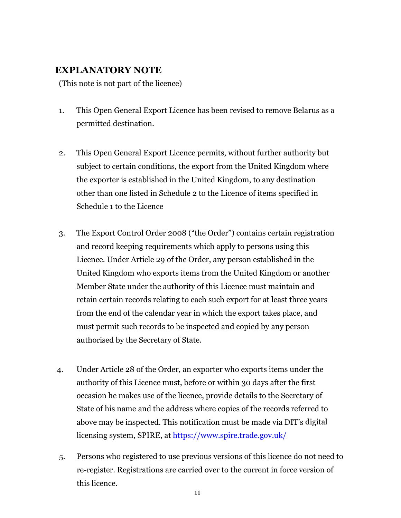## **EXPLANATORY NOTE**

(This note is not part of the licence)

- 1. This Open General Export Licence has been revised to remove Belarus as a permitted destination.
- 2. This Open General Export Licence permits, without further authority but subject to certain conditions, the export from the United Kingdom where the exporter is established in the United Kingdom, to any destination other than one listed in Schedule 2 to the Licence of items specified in Schedule 1 to the Licence
- 3. The Export Control Order 2008 ("the Order") contains certain registration and record keeping requirements which apply to persons using this Licence. Under Article 29 of the Order, any person established in the United Kingdom who exports items from the United Kingdom or another Member State under the authority of this Licence must maintain and retain certain records relating to each such export for at least three years from the end of the calendar year in which the export takes place, and must permit such records to be inspected and copied by any person authorised by the Secretary of State.
- 4. Under Article 28 of the Order, an exporter who exports items under the authority of this Licence must, before or within 30 days after the first occasion he makes use of the licence, provide details to the Secretary of State of his name and the address where copies of the records referred to above may be inspected. This notification must be made via DIT's digital licensing system, SPIRE, at <https://www.spire.trade.gov.uk/>
- 5. Persons who registered to use previous versions of this licence do not need to re-register. Registrations are carried over to the current in force version of this licence.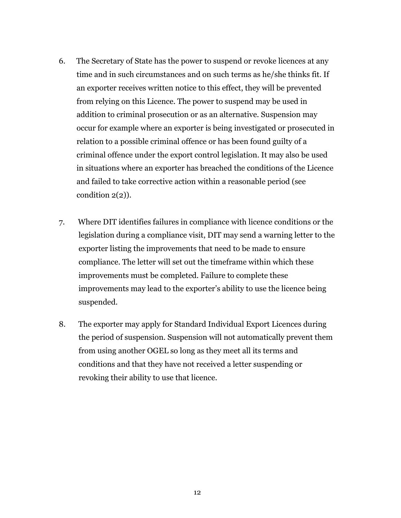- 6. The Secretary of State has the power to suspend or revoke licences at any time and in such circumstances and on such terms as he/she thinks fit. If an exporter receives written notice to this effect, they will be prevented from relying on this Licence. The power to suspend may be used in addition to criminal prosecution or as an alternative. Suspension may occur for example where an exporter is being investigated or prosecuted in relation to a possible criminal offence or has been found guilty of a criminal offence under the export control legislation. It may also be used in situations where an exporter has breached the conditions of the Licence and failed to take corrective action within a reasonable period (see condition 2(2)).
- 7. Where DIT identifies failures in compliance with licence conditions or the legislation during a compliance visit, DIT may send a warning letter to the exporter listing the improvements that need to be made to ensure compliance. The letter will set out the timeframe within which these improvements must be completed. Failure to complete these improvements may lead to the exporter's ability to use the licence being suspended.
- 8. The exporter may apply for Standard Individual Export Licences during the period of suspension. Suspension will not automatically prevent them from using another OGEL so long as they meet all its terms and conditions and that they have not received a letter suspending or revoking their ability to use that licence.